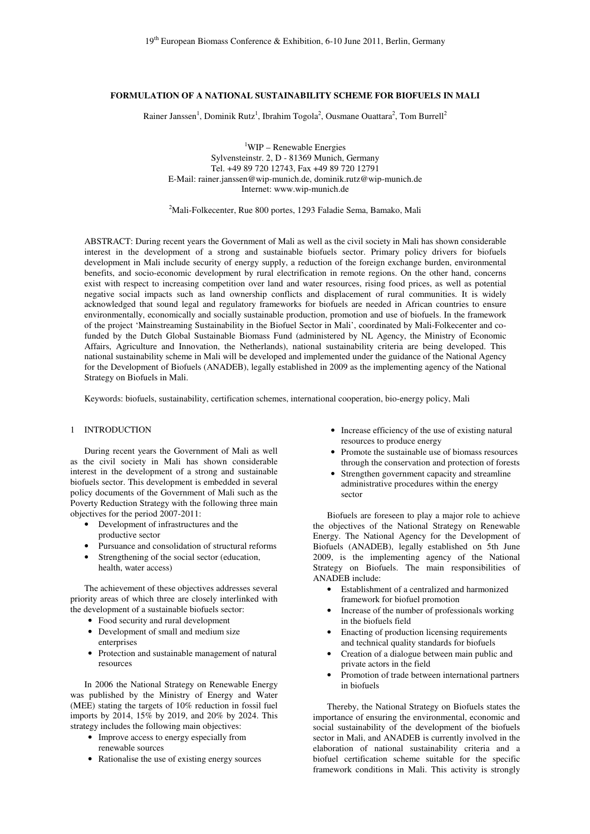# **FORMULATION OF A NATIONAL SUSTAINABILITY SCHEME FOR BIOFUELS IN MALI**

Rainer Janssen<sup>1</sup>, Dominik Rutz<sup>1</sup>, Ibrahim Togola<sup>2</sup>, Ousmane Ouattara<sup>2</sup>, Tom Burrell<sup>2</sup>

<sup>1</sup>WIP – Renewable Energies Sylvensteinstr. 2, D - 81369 Munich, Germany Tel. +49 89 720 12743, Fax +49 89 720 12791 E-Mail: rainer.janssen@wip-munich.de, dominik.rutz@wip-munich.de Internet: www.wip-munich.de

<sup>2</sup>Mali-Folkecenter, Rue 800 portes, 1293 Faladie Sema, Bamako, Mali

ABSTRACT: During recent years the Government of Mali as well as the civil society in Mali has shown considerable interest in the development of a strong and sustainable biofuels sector. Primary policy drivers for biofuels development in Mali include security of energy supply, a reduction of the foreign exchange burden, environmental benefits, and socio-economic development by rural electrification in remote regions. On the other hand, concerns exist with respect to increasing competition over land and water resources, rising food prices, as well as potential negative social impacts such as land ownership conflicts and displacement of rural communities. It is widely acknowledged that sound legal and regulatory frameworks for biofuels are needed in African countries to ensure environmentally, economically and socially sustainable production, promotion and use of biofuels. In the framework of the project 'Mainstreaming Sustainability in the Biofuel Sector in Mali', coordinated by Mali-Folkecenter and cofunded by the Dutch Global Sustainable Biomass Fund (administered by NL Agency, the Ministry of Economic Affairs, Agriculture and Innovation, the Netherlands), national sustainability criteria are being developed. This national sustainability scheme in Mali will be developed and implemented under the guidance of the National Agency for the Development of Biofuels (ANADEB), legally established in 2009 as the implementing agency of the National Strategy on Biofuels in Mali.

Keywords: biofuels, sustainability, certification schemes, international cooperation, bio-energy policy, Mali

# 1 INTRODUCTION

During recent years the Government of Mali as well as the civil society in Mali has shown considerable interest in the development of a strong and sustainable biofuels sector. This development is embedded in several policy documents of the Government of Mali such as the Poverty Reduction Strategy with the following three main objectives for the period 2007-2011:

- Development of infrastructures and the
- productive sector
- Pursuance and consolidation of structural reforms
- Strengthening of the social sector (education, health, water access)

The achievement of these objectives addresses several priority areas of which three are closely interlinked with the development of a sustainable biofuels sector:

- Food security and rural development
	- Development of small and medium size enterprises
	- Protection and sustainable management of natural resources

In 2006 the National Strategy on Renewable Energy was published by the Ministry of Energy and Water (MEE) stating the targets of 10% reduction in fossil fuel imports by 2014, 15% by 2019, and 20% by 2024. This strategy includes the following main objectives:

- Improve access to energy especially from renewable sources
- Rationalise the use of existing energy sources
- Increase efficiency of the use of existing natural resources to produce energy
- Promote the sustainable use of biomass resources through the conservation and protection of forests
- Strengthen government capacity and streamline administrative procedures within the energy sector

Biofuels are foreseen to play a major role to achieve the objectives of the National Strategy on Renewable Energy. The National Agency for the Development of Biofuels (ANADEB), legally established on 5th June 2009, is the implementing agency of the National Strategy on Biofuels. The main responsibilities of ANADEB include:

- Establishment of a centralized and harmonized framework for biofuel promotion
- Increase of the number of professionals working in the biofuels field
- Enacting of production licensing requirements and technical quality standards for biofuels
- Creation of a dialogue between main public and private actors in the field
- Promotion of trade between international partners in biofuels

Thereby, the National Strategy on Biofuels states the importance of ensuring the environmental, economic and social sustainability of the development of the biofuels sector in Mali, and ANADEB is currently involved in the elaboration of national sustainability criteria and a biofuel certification scheme suitable for the specific framework conditions in Mali. This activity is strongly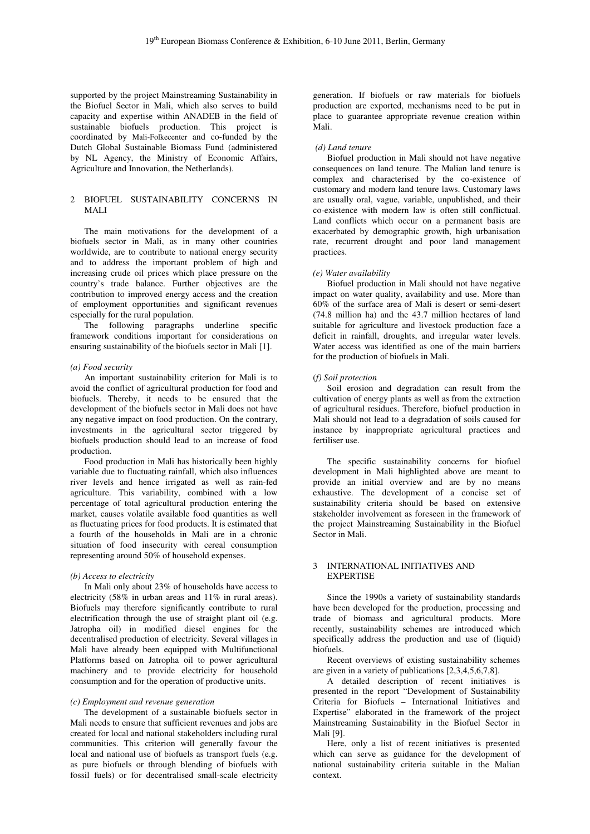supported by the project Mainstreaming Sustainability in the Biofuel Sector in Mali, which also serves to build capacity and expertise within ANADEB in the field of sustainable biofuels production. This project is coordinated by Mali-Folkecenter and co-funded by the Dutch Global Sustainable Biomass Fund (administered by NL Agency, the Ministry of Economic Affairs, Agriculture and Innovation, the Netherlands).

# 2 BIOFUEL SUSTAINABILITY CONCERNS IN MALI

The main motivations for the development of a biofuels sector in Mali, as in many other countries worldwide, are to contribute to national energy security and to address the important problem of high and increasing crude oil prices which place pressure on the country's trade balance. Further objectives are the contribution to improved energy access and the creation of employment opportunities and significant revenues especially for the rural population.

The following paragraphs underline specific framework conditions important for considerations on ensuring sustainability of the biofuels sector in Mali [1].

### *(a) Food security*

An important sustainability criterion for Mali is to avoid the conflict of agricultural production for food and biofuels. Thereby, it needs to be ensured that the development of the biofuels sector in Mali does not have any negative impact on food production. On the contrary, investments in the agricultural sector triggered by biofuels production should lead to an increase of food production.

Food production in Mali has historically been highly variable due to fluctuating rainfall, which also influences river levels and hence irrigated as well as rain-fed agriculture. This variability, combined with a low percentage of total agricultural production entering the market, causes volatile available food quantities as well as fluctuating prices for food products. It is estimated that a fourth of the households in Mali are in a chronic situation of food insecurity with cereal consumption representing around 50% of household expenses.

## *(b) Access to electricity*

In Mali only about 23% of households have access to electricity (58% in urban areas and 11% in rural areas). Biofuels may therefore significantly contribute to rural electrification through the use of straight plant oil (e.g. Jatropha oil) in modified diesel engines for the decentralised production of electricity. Several villages in Mali have already been equipped with Multifunctional Platforms based on Jatropha oil to power agricultural machinery and to provide electricity for household consumption and for the operation of productive units.

#### *(c) Employment and revenue generation*

The development of a sustainable biofuels sector in Mali needs to ensure that sufficient revenues and jobs are created for local and national stakeholders including rural communities. This criterion will generally favour the local and national use of biofuels as transport fuels (e.g. as pure biofuels or through blending of biofuels with fossil fuels) or for decentralised small-scale electricity

generation. If biofuels or raw materials for biofuels production are exported, mechanisms need to be put in place to guarantee appropriate revenue creation within Mali.

### *(d) Land tenure*

Biofuel production in Mali should not have negative consequences on land tenure. The Malian land tenure is complex and characterised by the co-existence of customary and modern land tenure laws. Customary laws are usually oral, vague, variable, unpublished, and their co-existence with modern law is often still conflictual. Land conflicts which occur on a permanent basis are exacerbated by demographic growth, high urbanisation rate, recurrent drought and poor land management practices.

#### *(e) Water availability*

Biofuel production in Mali should not have negative impact on water quality, availability and use. More than 60% of the surface area of Mali is desert or semi-desert (74.8 million ha) and the 43.7 million hectares of land suitable for agriculture and livestock production face a deficit in rainfall, droughts, and irregular water levels. Water access was identified as one of the main barriers for the production of biofuels in Mali.

#### (*f) Soil protection*

Soil erosion and degradation can result from the cultivation of energy plants as well as from the extraction of agricultural residues. Therefore, biofuel production in Mali should not lead to a degradation of soils caused for instance by inappropriate agricultural practices and fertiliser use.

The specific sustainability concerns for biofuel development in Mali highlighted above are meant to provide an initial overview and are by no means exhaustive. The development of a concise set of sustainability criteria should be based on extensive stakeholder involvement as foreseen in the framework of the project Mainstreaming Sustainability in the Biofuel Sector in Mali.

### 3 INTERNATIONAL INITIATIVES AND EXPERTISE

Since the 1990s a variety of sustainability standards have been developed for the production, processing and trade of biomass and agricultural products. More recently, sustainability schemes are introduced which specifically address the production and use of (liquid) biofuels.

Recent overviews of existing sustainability schemes are given in a variety of publications [2,3,4,5,6,7,8].

A detailed description of recent initiatives is presented in the report "Development of Sustainability Criteria for Biofuels – International Initiatives and Expertise" elaborated in the framework of the project Mainstreaming Sustainability in the Biofuel Sector in Mali [9].

Here, only a list of recent initiatives is presented which can serve as guidance for the development of national sustainability criteria suitable in the Malian context.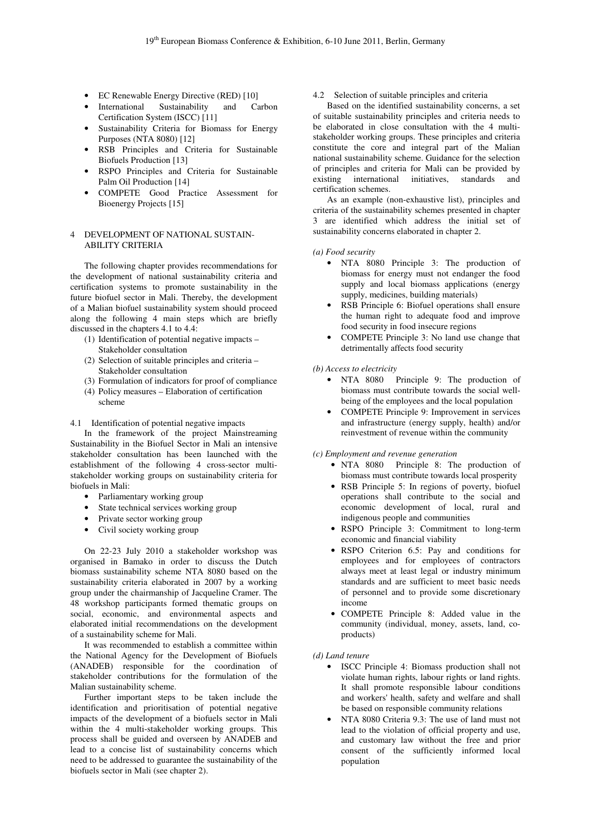- EC Renewable Energy Directive (RED) [10]
- International Sustainability and Carbon Certification System (ISCC) [11]
- Sustainability Criteria for Biomass for Energy Purposes (NTA 8080) [12]
- RSB Principles and Criteria for Sustainable Biofuels Production [13]
- RSPO Principles and Criteria for Sustainable Palm Oil Production [14]
- COMPETE Good Practice Assessment for Bioenergy Projects [15]

# 4 DEVELOPMENT OF NATIONAL SUSTAIN-ABILITY CRITERIA

 The following chapter provides recommendations for the development of national sustainability criteria and certification systems to promote sustainability in the future biofuel sector in Mali. Thereby, the development of a Malian biofuel sustainability system should proceed along the following 4 main steps which are briefly discussed in the chapters 4.1 to 4.4:

- (1) Identification of potential negative impacts Stakeholder consultation
- (2) Selection of suitable principles and criteria Stakeholder consultation
- (3) Formulation of indicators for proof of compliance
- (4) Policy measures Elaboration of certification scheme

4.1 Identification of potential negative impacts

In the framework of the project Mainstreaming Sustainability in the Biofuel Sector in Mali an intensive stakeholder consultation has been launched with the establishment of the following 4 cross-sector multistakeholder working groups on sustainability criteria for biofuels in Mali:

- Parliamentary working group
- State technical services working group
- Private sector working group
- Civil society working group

On 22-23 July 2010 a stakeholder workshop was organised in Bamako in order to discuss the Dutch biomass sustainability scheme NTA 8080 based on the sustainability criteria elaborated in 2007 by a working group under the chairmanship of Jacqueline Cramer. The 48 workshop participants formed thematic groups on social, economic, and environmental aspects and elaborated initial recommendations on the development of a sustainability scheme for Mali.

It was recommended to establish a committee within the National Agency for the Development of Biofuels (ANADEB) responsible for the coordination of stakeholder contributions for the formulation of the Malian sustainability scheme.

Further important steps to be taken include the identification and prioritisation of potential negative impacts of the development of a biofuels sector in Mali within the 4 multi-stakeholder working groups. This process shall be guided and overseen by ANADEB and lead to a concise list of sustainability concerns which need to be addressed to guarantee the sustainability of the biofuels sector in Mali (see chapter 2).

4.2 Selection of suitable principles and criteria

Based on the identified sustainability concerns, a set of suitable sustainability principles and criteria needs to be elaborated in close consultation with the 4 multistakeholder working groups. These principles and criteria constitute the core and integral part of the Malian national sustainability scheme. Guidance for the selection of principles and criteria for Mali can be provided by existing international initiatives, standards and certification schemes.

As an example (non-exhaustive list), principles and criteria of the sustainability schemes presented in chapter 3 are identified which address the initial set of sustainability concerns elaborated in chapter 2.

*(a) Food security* 

- NTA 8080 Principle 3: The production of biomass for energy must not endanger the food supply and local biomass applications (energy supply, medicines, building materials)
- RSB Principle 6: Biofuel operations shall ensure the human right to adequate food and improve food security in food insecure regions
- COMPETE Principle 3: No land use change that detrimentally affects food security

#### *(b) Access to electricity*

- NTA 8080 Principle 9: The production of biomass must contribute towards the social wellbeing of the employees and the local population
- COMPETE Principle 9: Improvement in services and infrastructure (energy supply, health) and/or reinvestment of revenue within the community

## *(c) Employment and revenue generation*

- NTA 8080 Principle 8: The production of biomass must contribute towards local prosperity
- RSB Principle 5: In regions of poverty, biofuel operations shall contribute to the social and economic development of local, rural and indigenous people and communities
- RSPO Principle 3: Commitment to long-term economic and financial viability
- RSPO Criterion 6.5: Pay and conditions for employees and for employees of contractors always meet at least legal or industry minimum standards and are sufficient to meet basic needs of personnel and to provide some discretionary income
- COMPETE Principle 8: Added value in the community (individual, money, assets, land, coproducts)

### *(d) Land tenure*

- ISCC Principle 4: Biomass production shall not violate human rights, labour rights or land rights. It shall promote responsible labour conditions and workers' health, safety and welfare and shall be based on responsible community relations
- NTA 8080 Criteria 9.3: The use of land must not lead to the violation of official property and use, and customary law without the free and prior consent of the sufficiently informed local population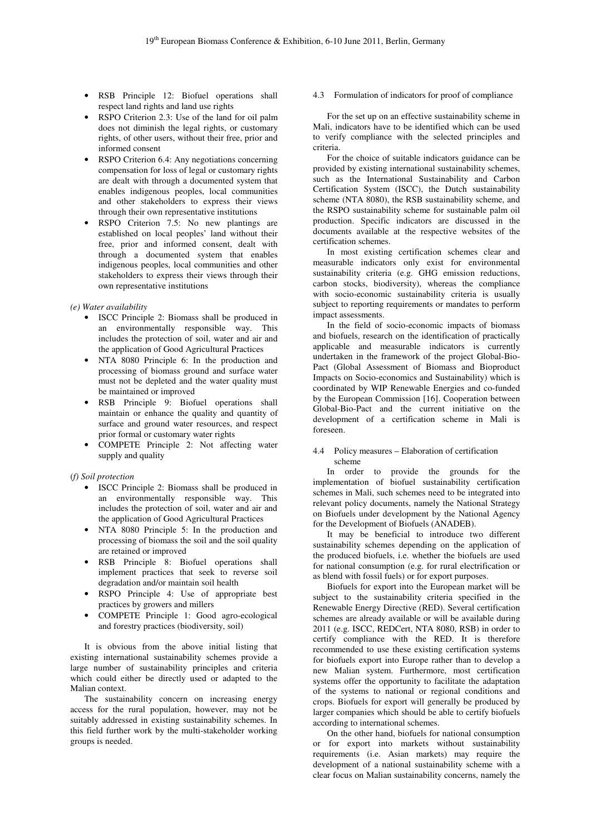- RSB Principle 12: Biofuel operations shall respect land rights and land use rights
- RSPO Criterion 2.3: Use of the land for oil palm does not diminish the legal rights, or customary rights, of other users, without their free, prior and informed consent
- RSPO Criterion 6.4: Any negotiations concerning compensation for loss of legal or customary rights are dealt with through a documented system that enables indigenous peoples, local communities and other stakeholders to express their views through their own representative institutions
- RSPO Criterion 7.5: No new plantings are established on local peoples' land without their free, prior and informed consent, dealt with through a documented system that enables indigenous peoples, local communities and other stakeholders to express their views through their own representative institutions

*(e) Water availability* 

- ISCC Principle 2: Biomass shall be produced in an environmentally responsible way. This includes the protection of soil, water and air and the application of Good Agricultural Practices
- NTA 8080 Principle 6: In the production and processing of biomass ground and surface water must not be depleted and the water quality must be maintained or improved
- RSB Principle 9: Biofuel operations shall maintain or enhance the quality and quantity of surface and ground water resources, and respect prior formal or customary water rights
- COMPETE Principle 2: Not affecting water supply and quality

(*f) Soil protection* 

- ISCC Principle 2: Biomass shall be produced in an environmentally responsible way. This includes the protection of soil, water and air and the application of Good Agricultural Practices
- NTA 8080 Principle 5: In the production and processing of biomass the soil and the soil quality are retained or improved
- RSB Principle 8: Biofuel operations shall implement practices that seek to reverse soil degradation and/or maintain soil health
- RSPO Principle 4: Use of appropriate best practices by growers and millers
- COMPETE Principle 1: Good agro-ecological and forestry practices (biodiversity, soil)

It is obvious from the above initial listing that existing international sustainability schemes provide a large number of sustainability principles and criteria which could either be directly used or adapted to the Malian context.

The sustainability concern on increasing energy access for the rural population, however, may not be suitably addressed in existing sustainability schemes. In this field further work by the multi-stakeholder working groups is needed.

4.3 Formulation of indicators for proof of compliance

For the set up on an effective sustainability scheme in Mali, indicators have to be identified which can be used to verify compliance with the selected principles and criteria.

For the choice of suitable indicators guidance can be provided by existing international sustainability schemes, such as the International Sustainability and Carbon Certification System (ISCC), the Dutch sustainability scheme (NTA 8080), the RSB sustainability scheme, and the RSPO sustainability scheme for sustainable palm oil production. Specific indicators are discussed in the documents available at the respective websites of the certification schemes.

In most existing certification schemes clear and measurable indicators only exist for environmental sustainability criteria (e.g. GHG emission reductions, carbon stocks, biodiversity), whereas the compliance with socio-economic sustainability criteria is usually subject to reporting requirements or mandates to perform impact assessments.

In the field of socio-economic impacts of biomass and biofuels, research on the identification of practically applicable and measurable indicators is currently undertaken in the framework of the project Global-Bio-Pact (Global Assessment of Biomass and Bioproduct Impacts on Socio-economics and Sustainability) which is coordinated by WIP Renewable Energies and co-funded by the European Commission [16]. Cooperation between Global-Bio-Pact and the current initiative on the development of a certification scheme in Mali is foreseen.

## 4.4 Policy measures – Elaboration of certification scheme

In order to provide the grounds for the implementation of biofuel sustainability certification schemes in Mali, such schemes need to be integrated into relevant policy documents, namely the National Strategy on Biofuels under development by the National Agency for the Development of Biofuels (ANADEB).

It may be beneficial to introduce two different sustainability schemes depending on the application of the produced biofuels, i.e. whether the biofuels are used for national consumption (e.g. for rural electrification or as blend with fossil fuels) or for export purposes.

Biofuels for export into the European market will be subject to the sustainability criteria specified in the Renewable Energy Directive (RED). Several certification schemes are already available or will be available during 2011 (e.g. ISCC, REDCert, NTA 8080, RSB) in order to certify compliance with the RED. It is therefore recommended to use these existing certification systems for biofuels export into Europe rather than to develop a new Malian system. Furthermore, most certification systems offer the opportunity to facilitate the adaptation of the systems to national or regional conditions and crops. Biofuels for export will generally be produced by larger companies which should be able to certify biofuels according to international schemes.

On the other hand, biofuels for national consumption or for export into markets without sustainability requirements (i.e. Asian markets) may require the development of a national sustainability scheme with a clear focus on Malian sustainability concerns, namely the